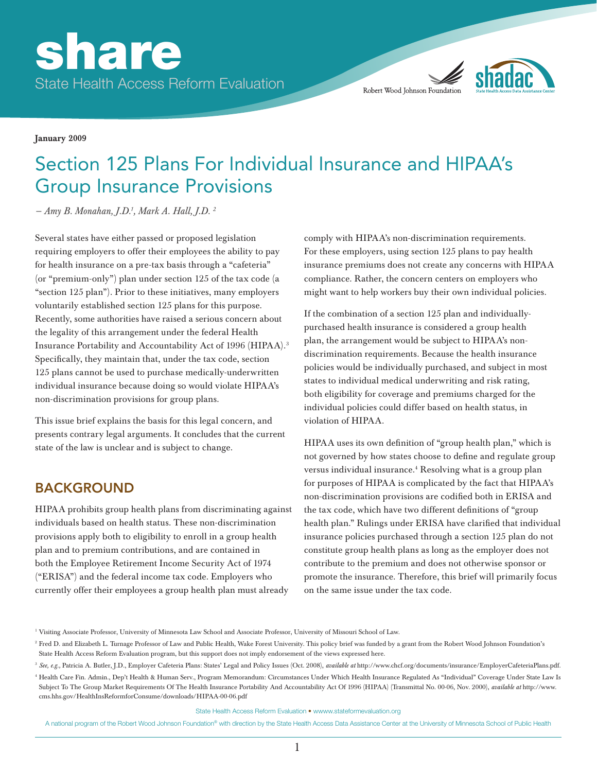

January 2009

# Section 125 Plans For Individual Insurance and HIPAA's Group Insurance Provisions

*— Amy B. Monahan, J.D.1 , Mark A. Hall, J.D. 2*

Several states have either passed or proposed legislation requiring employers to offer their employees the ability to pay for health insurance on a pre-tax basis through a "cafeteria" (or "premium-only") plan under section 125 of the tax code (a "section 125 plan"). Prior to these initiatives, many employers voluntarily established section 125 plans for this purpose. Recently, some authorities have raised a serious concern about the legality of this arrangement under the federal Health Insurance Portability and Accountability Act of 1996 (HIPAA).3 Specifically, they maintain that, under the tax code, section 125 plans cannot be used to purchase medically-underwritten individual insurance because doing so would violate HIPAA's non-discrimination provisions for group plans.

This issue brief explains the basis for this legal concern, and presents contrary legal arguments. It concludes that the current state of the law is unclear and is subject to change.

# BACKGROUND

HIPAA prohibits group health plans from discriminating against individuals based on health status. These non-discrimination provisions apply both to eligibility to enroll in a group health plan and to premium contributions, and are contained in both the Employee Retirement Income Security Act of 1974 ("ERISA") and the federal income tax code. Employers who currently offer their employees a group health plan must already

comply with HIPAA's non-discrimination requirements. For these employers, using section 125 plans to pay health insurance premiums does not create any concerns with HIPAA compliance. Rather, the concern centers on employers who might want to help workers buy their own individual policies.

If the combination of a section 125 plan and individuallypurchased health insurance is considered a group health plan, the arrangement would be subject to HIPAA's nondiscrimination requirements. Because the health insurance policies would be individually purchased, and subject in most states to individual medical underwriting and risk rating, both eligibility for coverage and premiums charged for the individual policies could differ based on health status, in violation of HIPAA.

HIPAA uses its own definition of "group health plan," which is not governed by how states choose to define and regulate group versus individual insurance.4 Resolving what is a group plan for purposes of HIPAA is complicated by the fact that HIPAA's non-discrimination provisions are codified both in ERISA and the tax code, which have two different definitions of "group health plan." Rulings under ERISA have clarified that individual insurance policies purchased through a section 125 plan do not constitute group health plans as long as the employer does not contribute to the premium and does not otherwise sponsor or promote the insurance. Therefore, this brief will primarily focus on the same issue under the tax code.

State Health Access Reform Evaluation • wwww.stateformevaluation.org

<sup>1</sup> Visiting Associate Professor, University of Minnesota Law School and Associate Professor, University of Missouri School of Law.

<sup>&</sup>lt;sup>2</sup> Fred D. and Elizabeth L. Turnage Professor of Law and Public Health, Wake Forest University. This policy brief was funded by a grant from the Robert Wood Johnson Foundation's State Health Access Reform Evaluation program, but this support does not imply endorsement of the views expressed here.

<sup>3</sup> *See, e.g.,* Patricia A. Butler, J.D., Employer Cafeteria Plans: States' Legal and Policy Issues (Oct. 2008), *available at* http://www.chcf.org/documents/insurance/EmployerCafeteriaPlans.pdf. <sup>4</sup> Health Care Fin. Admin., Dep't Health & Human Serv., Program Memorandum: Circumstances Under Which Health Insurance Regulated As "Individual" Coverage Under State Law Is

Subject To The Group Market Requirements Of The Health Insurance Portability And Accountability Act Of 1996 (HIPAA) (Transmittal No. 00-06, Nov. 2000), *available at* http://www. cms.hhs.gov/HealthInsReformforConsume/downloads/HIPAA-00-06.pdf

A national program of the Robert Wood Johnson Foundation® with direction by the State Health Access Data Assistance Center at the University of Minnesota School of Public Health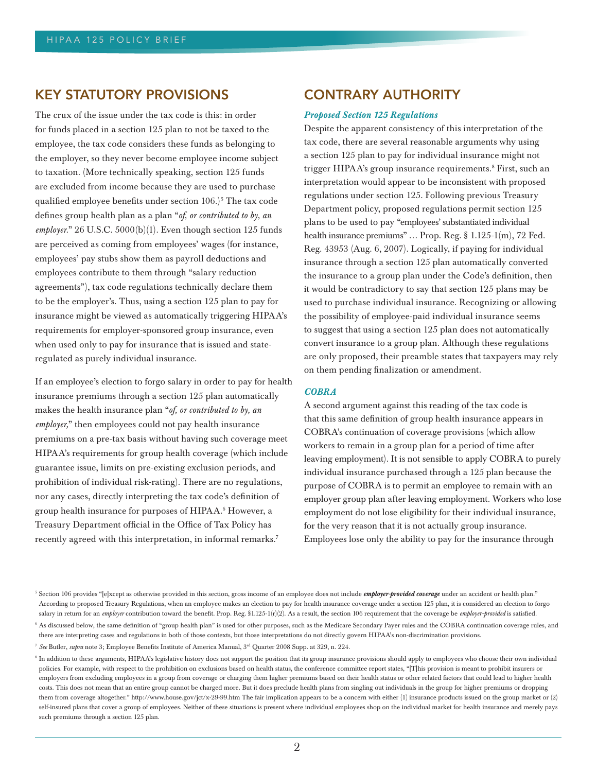## KEY STATUTORY PROVISIONS

The crux of the issue under the tax code is this: in order for funds placed in a section 125 plan to not be taxed to the employee, the tax code considers these funds as belonging to the employer, so they never become employee income subject to taxation. (More technically speaking, section 125 funds are excluded from income because they are used to purchase qualified employee benefits under section  $106$ .)<sup>5</sup> The tax code defines group health plan as a plan "*of, or contributed to by, an employer.*" 26 U.S.C. 5000(b)(1). Even though section 125 funds are perceived as coming from employees' wages (for instance, employees' pay stubs show them as payroll deductions and employees contribute to them through "salary reduction agreements"), tax code regulations technically declare them to be the employer's. Thus, using a section 125 plan to pay for insurance might be viewed as automatically triggering HIPAA's requirements for employer-sponsored group insurance, even when used only to pay for insurance that is issued and stateregulated as purely individual insurance.

If an employee's election to forgo salary in order to pay for health insurance premiums through a section 125 plan automatically makes the health insurance plan "*of, or contributed to by, an employer,*" then employees could not pay health insurance premiums on a pre-tax basis without having such coverage meet HIPAA's requirements for group health coverage (which include guarantee issue, limits on pre-existing exclusion periods, and prohibition of individual risk-rating). There are no regulations, nor any cases, directly interpreting the tax code's definition of group health insurance for purposes of HIPAA.6 However, a Treasury Department official in the Office of Tax Policy has recently agreed with this interpretation, in informal remarks.<sup>7</sup>

## CONTRARY AUTHORITY

#### *Proposed Section 125 Regulations*

Despite the apparent consistency of this interpretation of the tax code, there are several reasonable arguments why using a section 125 plan to pay for individual insurance might not trigger HIPAA's group insurance requirements.<sup>8</sup> First, such an interpretation would appear to be inconsistent with proposed regulations under section 125. Following previous Treasury Department policy, proposed regulations permit section 125 plans to be used to pay "employees' substantiated individual health insurance premiums" ... Prop. Reg. § 1.125-1(m), 72 Fed. Reg. 43953 (Aug. 6, 2007). Logically, if paying for individual insurance through a section 125 plan automatically converted the insurance to a group plan under the Code's definition, then it would be contradictory to say that section 125 plans may be used to purchase individual insurance. Recognizing or allowing the possibility of employee-paid individual insurance seems to suggest that using a section 125 plan does not automatically convert insurance to a group plan. Although these regulations are only proposed, their preamble states that taxpayers may rely on them pending finalization or amendment.

#### *COBRA*

A second argument against this reading of the tax code is that this same definition of group health insurance appears in COBRA's continuation of coverage provisions (which allow workers to remain in a group plan for a period of time after leaving employment). It is not sensible to apply COBRA to purely individual insurance purchased through a 125 plan because the purpose of COBRA is to permit an employee to remain with an employer group plan after leaving employment. Workers who lose employment do not lose eligibility for their individual insurance, for the very reason that it is not actually group insurance. Employees lose only the ability to pay for the insurance through

<sup>&</sup>lt;sup>5</sup> Section 106 provides "[e]xcept as otherwise provided in this section, gross income of an employee does not include *employer-provided coverage* under an accident or health plan." According to proposed Treasury Regulations, when an employee makes an election to pay for health insurance coverage under a section 125 plan, it is considered an election to forgo salary in return for an *employer* contribution toward the benefit. Prop. Reg. §1.125-1(r)(2). As a result, the section 106 requirement that the coverage be *employer-provided* is satisfied.

<sup>&</sup>lt;sup>6</sup> As discussed below, the same definition of "group health plan" is used for other purposes, such as the Medicare Secondary Payer rules and the COBRA continuation coverage rules, and there are interpreting cases and regulations in both of those contexts, but those interpretations do not directly govern HIPAA's non-discrimination provisions.

<sup>7</sup> *See* Butler, *supra* note 3; Employee Benefits Institute of America Manual, 3rd Quarter 2008 Supp. at 329, n. 224.

<sup>&</sup>lt;sup>8</sup> In addition to these arguments, HIPAA's legislative history does not support the position that its group insurance provisions should apply to employees who choose their own individual policies. For example, with respect to the prohibition on exclusions based on health status, the conference committee report states, "[T]his provision is meant to prohibit insurers or employers from excluding employees in a group from coverage or charging them higher premiums based on their health status or other related factors that could lead to higher health costs. This does not mean that an entire group cannot be charged more. But it does preclude health plans from singling out individuals in the group for higher premiums or dropping them from coverage altogether." http://www.house.gov/jct/x-29-99.htm The fair implication appears to be a concern with either (1) insurance products issued on the group market or (2) self-insured plans that cover a group of employees. Neither of these situations is present where individual employees shop on the individual market for health insurance and merely pays such premiums through a section 125 plan.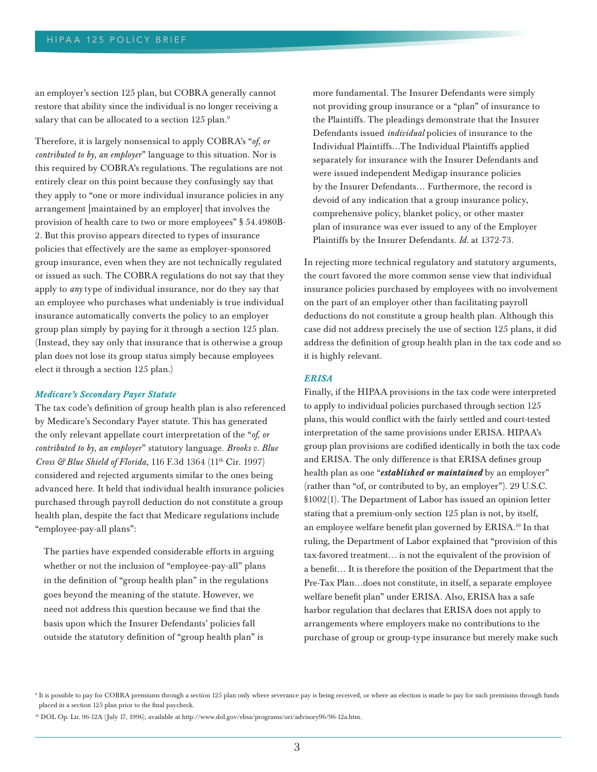an employer's section 125 plan, but COBRA generally cannot restore that ability since the individual is no longer receiving a salary that can be allocated to a section 125 plan.<sup>9</sup>

Therefore, it is largely nonsensical to apply COBRA's "*of, or contributed to by, an employer*" language to this situation. Nor is this required by COBRA's regulations. The regulations are not entirely clear on this point because they confusingly say that they apply to "one or more individual insurance policies in any arrangement [maintained by an employer] that involves the provision of health care to two or more employees" § 54.4980B-2. But this proviso appears directed to types of insurance policies that effectively are the same as employer-sponsored group insurance, even when they are not technically regulated or issued as such. The COBRA regulations do not say that they apply to *any* type of individual insurance, nor do they say that an employee who purchases what undeniably is true individual insurance automatically converts the policy to an employer group plan simply by paying for it through a section 125 plan. (Instead, they say only that insurance that is otherwise a group plan does not lose its group status simply because employees elect it through a section 125 plan.)

#### *Medicare's Secondary Payer Statute*

The tax code's definition of group health plan is also referenced by Medicare's Secondary Payer statute. This has generated the only relevant appellate court interpretation of the "*of, or contributed to by, an employer*" statutory language. *Brooks v. Blue Cross & Blue Shield of Florida*, 116 F.3d 1364 (11<sup>th</sup> Cir. 1997) considered and rejected arguments similar to the ones being advanced here. It held that individual health insurance policies purchased through payroll deduction do not constitute a group health plan, despite the fact that Medicare regulations include "employee-pay-all plans":

The parties have expended considerable efforts in arguing whether or not the inclusion of "employee-pay-all" plans in the definition of "group health plan" in the regulations goes beyond the meaning of the statute. However, we need not address this question because we find that the basis upon which the Insurer Defendants' policies fall outside the statutory definition of "group health plan" is

more fundamental. The Insurer Defendants were simply not providing group insurance or a "plan" of insurance to the Plaintiffs. The pleadings demonstrate that the Insurer Defendants issued *individual* policies of insurance to the Individual Plaintiffs…The Individual Plaintiffs applied separately for insurance with the Insurer Defendants and were issued independent Medigap insurance policies by the Insurer Defendants… Furthermore, the record is devoid of any indication that a group insurance policy, comprehensive policy, blanket policy, or other master plan of insurance was ever issued to any of the Employer Plaintiffs by the Insurer Defendants. *Id.* at 1372-73.

In rejecting more technical regulatory and statutory arguments, the court favored the more common sense view that individual insurance policies purchased by employees with no involvement on the part of an employer other than facilitating payroll deductions do not constitute a group health plan. Although this case did not address precisely the use of section 125 plans, it did address the definition of group health plan in the tax code and so it is highly relevant.

#### *ERISA*

Finally, if the HIPAA provisions in the tax code were interpreted to apply to individual policies purchased through section 125 plans, this would conflict with the fairly settled and court-tested interpretation of the same provisions under ERISA. HIPAA's group plan provisions are codified identically in both the tax code and ERISA. The only difference is that ERISA defines group health plan as one "*established or maintained* by an employer" (rather than "of, or contributed to by, an employer"). 29 U.S.C. §1002(1). The Department of Labor has issued an opinion letter stating that a premium-only section 125 plan is not, by itself, an employee welfare benefit plan governed by ERISA.10 In that ruling, the Department of Labor explained that "provision of this tax-favored treatment… is not the equivalent of the provision of a benefit… It is therefore the position of the Department that the Pre-Tax Plan…does not constitute, in itself, a separate employee welfare benefit plan" under ERISA. Also, ERISA has a safe harbor regulation that declares that ERISA does not apply to arrangements where employers make no contributions to the purchase of group or group-type insurance but merely make such

<sup>&</sup>lt;sup>9</sup> It is possible to pay for COBRA premiums through a section 125 plan only where severance pay is being received, or where an election is made to pay for such premiums through funds placed in a section 125 plan prior to the final paycheck.

<sup>10</sup> DOL Op. Ltr. 96-12A (July 17, 1996), available at http://www.dol.gov/ebsa/programs/ori/advisory96/96-12a.htm .